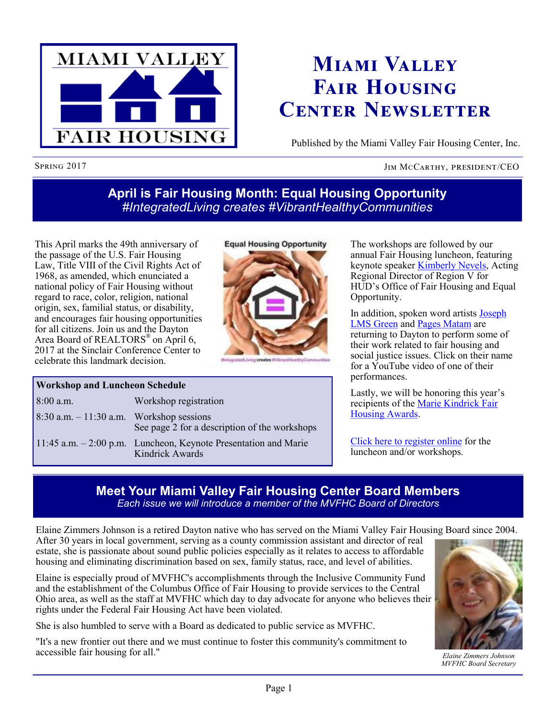

# **Miami Valley Fair Housing Center Newsletter**

Published by the Miami Valley Fair Housing Center, Inc.

### Spring 2017 JIM McCarthy, president/CEO

# **April is Fair Housing Month: Equal Housing Opportunity** *#IntegratedLiving creates #VibrantHealthyCommunities*

**Equal Housing Opportunity** 

This April marks the 49th anniversary of the passage of the U.S. Fair Housing Law, Title VIII of the Civil Rights Act of 1968, as amended, which enunciated a national policy of Fair Housing without regard to race, color, religion, national origin, sex, familial status, or disability, and encourages fair housing opportunities for all citizens. Join us and the Dayton Area Board of REALTORS<sup>®</sup> on April 6, 2017 at the Sinclair Conference Center to celebrate this landmark decision.

### **Workshop and Luncheon Schedule**

| $8:00$ a.m.                                 | Workshop registration                                                                 |
|---------------------------------------------|---------------------------------------------------------------------------------------|
| $8:30$ a.m. $-11:30$ a.m. Workshop sessions | See page 2 for a description of the workshops                                         |
|                                             | $11:45$ a.m. $-2:00$ p.m. Luncheon, Keynote Presentation and Marie<br>Kindrick Awards |

The workshops are followed by our annual Fair Housing luncheon, featuring keynote speaker [Kimberly Nevels,](http://mvfairhousing.com/fhmonth2017/#speaker1) Acting Regional Director of Region V for HUD's Office of Fair Housing and Equal Opportunity.

In addition, spoken word artists [Joseph](https://www.youtube.com/watch?v=HSVrN80HQZA)  [LMS Green](https://www.youtube.com/watch?v=HSVrN80HQZA) and [Pages Matam](https://www.youtube.com/watch?v=IU_7X2twVQ0) are returning to Dayton to perform some of their work related to fair housing and social justice issues. Click on their name for a YouTube video of one of their performances.

Lastly, we will be honoring this year's recipients of the [Marie Kindrick Fair](http://mvfairhousing.com/fhmonth2017/#mariekindrick)  [Housing Awards.](http://mvfairhousing.com/fhmonth2017/#mariekindrick)

[Click here to register online](http://mvfairhousing.com/fhmonth2017/) for the luncheon and/or workshops.

## **Meet Your Miami Valley Fair Housing Center Board Members** *Each issue we will introduce a member of the MVFHC Board of Directors*

Elaine Zimmers Johnson is a retired Dayton native who has served on the Miami Valley Fair Housing Board since 2004. After 30 years in local government, serving as a county commission assistant and director of real estate, she is passionate about sound public policies especially as it relates to access to affordable housing and eliminating discrimination based on sex, family status, race, and level of abilities.

Elaine is especially proud of MVFHC's accomplishments through the Inclusive Community Fund and the establishment of the Columbus Office of Fair Housing to provide services to the Central Ohio area, as well as the staff at MVFHC which day to day advocate for anyone who believes their rights under the Federal Fair Housing Act have been violated.

She is also humbled to serve with a Board as dedicated to public service as MVFHC.

"It's a new frontier out there and we must continue to foster this community's commitment to accessible fair housing for all."



*Elaine Zimmers Johnson MVFHC Board Secretary*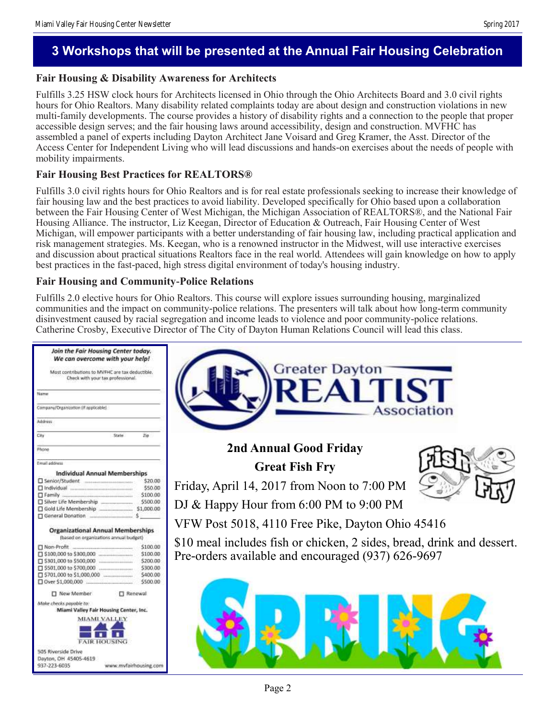### **Fair Housing & Disability Awareness for Architects**

Fulfills 3.25 HSW clock hours for Architects licensed in Ohio through the Ohio Architects Board and 3.0 civil rights hours for Ohio Realtors. Many disability related complaints today are about design and construction violations in new multi-family developments. The course provides a history of disability rights and a connection to the people that proper accessible design serves; and the fair housing laws around accessibility, design and construction. MVFHC has assembled a panel of experts including Dayton Architect Jane Voisard and Greg Kramer, the Asst. Director of the Access Center for Independent Living who will lead discussions and hands-on exercises about the needs of people with mobility impairments.

### **Fair Housing Best Practices for REALTORS®**

Fulfills 3.0 civil rights hours for Ohio Realtors and is for real estate professionals seeking to increase their knowledge of fair housing law and the best practices to avoid liability. Developed specifically for Ohio based upon a collaboration between the Fair Housing Center of West Michigan, the Michigan Association of REALTORS®, and the National Fair Housing Alliance. The instructor, Liz Keegan, Director of Education & Outreach, Fair Housing Center of West Michigan, will empower participants with a better understanding of fair housing law, including practical application and risk management strategies. Ms. Keegan, who is a renowned instructor in the Midwest, will use interactive exercises and discussion about practical situations Realtors face in the real world. Attendees will gain knowledge on how to apply best practices in the fast-paced, high stress digital environment of today's housing industry.

#### **Fair Housing and Community-Police Relations**

Fulfills 2.0 elective hours for Ohio Realtors. This course will explore issues surrounding housing, marginalized communities and the impact on community-police relations. The presenters will talk about how long-term community disinvestment caused by racial segregation and income leads to violence and poor community-police relations. Catherine Crosby, Executive Director of The City of Dayton Human Relations Council will lead this class.

| Join the Fair Housing Center today.<br>We can overcome with your help!<br><b>Greater Dayton</b><br>Must contributions to MVFHC are tax deductible.<br>Check with your tax professional.<br>REALTIST<br>Name<br><b>Association</b><br>Company/Drganization (if applicable).<br><b>Address</b><br>$CH\gamma$<br>State<br>ΩD<br>2nd Annual Good Friday<br>Phone<br>Email address<br><b>Great Fish Fry</b><br><b>Individual Annual Memberships</b><br>\$20.00<br>Senior/Student<br>Friday, April 14, 2017 from Noon to 7:00 PM<br>\$50.00<br>\$100.00<br>Silver Life Membership<br>\$500.00<br>DJ & Happy Hour from 6:00 PM to 9:00 PM<br>Gold Life Membership ________________ \$1,000.00<br>VFW Post 5018, 4110 Free Pike, Dayton Ohio 45416<br><b>Organizational Annual Memberships</b><br>(based on organizations annual budget)<br>\$10 meal includes fish or chicken, 2 sides, bread, drink and dessert.<br>\$100.00<br>Non-Profit<br>Pre-orders available and encouraged (937) 626-9697<br>\$100.00<br>5200.00<br>\$300.00<br>\$400.00<br>\$500.00<br>□ New Member<br>Renewal<br>Make checks payable to:<br>Miami Valley Fair Housing Center, Inc.<br><b>MIAMI VALLEY</b><br><b>FAIR HOUSING</b><br>505 Riverside Drive<br>Dayton, OH 45405-4619 |              |  |  |
|-----------------------------------------------------------------------------------------------------------------------------------------------------------------------------------------------------------------------------------------------------------------------------------------------------------------------------------------------------------------------------------------------------------------------------------------------------------------------------------------------------------------------------------------------------------------------------------------------------------------------------------------------------------------------------------------------------------------------------------------------------------------------------------------------------------------------------------------------------------------------------------------------------------------------------------------------------------------------------------------------------------------------------------------------------------------------------------------------------------------------------------------------------------------------------------------------------------------------------------------------------|--------------|--|--|
|                                                                                                                                                                                                                                                                                                                                                                                                                                                                                                                                                                                                                                                                                                                                                                                                                                                                                                                                                                                                                                                                                                                                                                                                                                                     |              |  |  |
|                                                                                                                                                                                                                                                                                                                                                                                                                                                                                                                                                                                                                                                                                                                                                                                                                                                                                                                                                                                                                                                                                                                                                                                                                                                     |              |  |  |
|                                                                                                                                                                                                                                                                                                                                                                                                                                                                                                                                                                                                                                                                                                                                                                                                                                                                                                                                                                                                                                                                                                                                                                                                                                                     |              |  |  |
|                                                                                                                                                                                                                                                                                                                                                                                                                                                                                                                                                                                                                                                                                                                                                                                                                                                                                                                                                                                                                                                                                                                                                                                                                                                     |              |  |  |
|                                                                                                                                                                                                                                                                                                                                                                                                                                                                                                                                                                                                                                                                                                                                                                                                                                                                                                                                                                                                                                                                                                                                                                                                                                                     |              |  |  |
|                                                                                                                                                                                                                                                                                                                                                                                                                                                                                                                                                                                                                                                                                                                                                                                                                                                                                                                                                                                                                                                                                                                                                                                                                                                     |              |  |  |
|                                                                                                                                                                                                                                                                                                                                                                                                                                                                                                                                                                                                                                                                                                                                                                                                                                                                                                                                                                                                                                                                                                                                                                                                                                                     |              |  |  |
|                                                                                                                                                                                                                                                                                                                                                                                                                                                                                                                                                                                                                                                                                                                                                                                                                                                                                                                                                                                                                                                                                                                                                                                                                                                     |              |  |  |
|                                                                                                                                                                                                                                                                                                                                                                                                                                                                                                                                                                                                                                                                                                                                                                                                                                                                                                                                                                                                                                                                                                                                                                                                                                                     |              |  |  |
|                                                                                                                                                                                                                                                                                                                                                                                                                                                                                                                                                                                                                                                                                                                                                                                                                                                                                                                                                                                                                                                                                                                                                                                                                                                     |              |  |  |
|                                                                                                                                                                                                                                                                                                                                                                                                                                                                                                                                                                                                                                                                                                                                                                                                                                                                                                                                                                                                                                                                                                                                                                                                                                                     |              |  |  |
|                                                                                                                                                                                                                                                                                                                                                                                                                                                                                                                                                                                                                                                                                                                                                                                                                                                                                                                                                                                                                                                                                                                                                                                                                                                     |              |  |  |
|                                                                                                                                                                                                                                                                                                                                                                                                                                                                                                                                                                                                                                                                                                                                                                                                                                                                                                                                                                                                                                                                                                                                                                                                                                                     |              |  |  |
|                                                                                                                                                                                                                                                                                                                                                                                                                                                                                                                                                                                                                                                                                                                                                                                                                                                                                                                                                                                                                                                                                                                                                                                                                                                     |              |  |  |
|                                                                                                                                                                                                                                                                                                                                                                                                                                                                                                                                                                                                                                                                                                                                                                                                                                                                                                                                                                                                                                                                                                                                                                                                                                                     |              |  |  |
|                                                                                                                                                                                                                                                                                                                                                                                                                                                                                                                                                                                                                                                                                                                                                                                                                                                                                                                                                                                                                                                                                                                                                                                                                                                     |              |  |  |
|                                                                                                                                                                                                                                                                                                                                                                                                                                                                                                                                                                                                                                                                                                                                                                                                                                                                                                                                                                                                                                                                                                                                                                                                                                                     |              |  |  |
|                                                                                                                                                                                                                                                                                                                                                                                                                                                                                                                                                                                                                                                                                                                                                                                                                                                                                                                                                                                                                                                                                                                                                                                                                                                     |              |  |  |
|                                                                                                                                                                                                                                                                                                                                                                                                                                                                                                                                                                                                                                                                                                                                                                                                                                                                                                                                                                                                                                                                                                                                                                                                                                                     |              |  |  |
|                                                                                                                                                                                                                                                                                                                                                                                                                                                                                                                                                                                                                                                                                                                                                                                                                                                                                                                                                                                                                                                                                                                                                                                                                                                     |              |  |  |
|                                                                                                                                                                                                                                                                                                                                                                                                                                                                                                                                                                                                                                                                                                                                                                                                                                                                                                                                                                                                                                                                                                                                                                                                                                                     |              |  |  |
|                                                                                                                                                                                                                                                                                                                                                                                                                                                                                                                                                                                                                                                                                                                                                                                                                                                                                                                                                                                                                                                                                                                                                                                                                                                     |              |  |  |
|                                                                                                                                                                                                                                                                                                                                                                                                                                                                                                                                                                                                                                                                                                                                                                                                                                                                                                                                                                                                                                                                                                                                                                                                                                                     |              |  |  |
|                                                                                                                                                                                                                                                                                                                                                                                                                                                                                                                                                                                                                                                                                                                                                                                                                                                                                                                                                                                                                                                                                                                                                                                                                                                     |              |  |  |
|                                                                                                                                                                                                                                                                                                                                                                                                                                                                                                                                                                                                                                                                                                                                                                                                                                                                                                                                                                                                                                                                                                                                                                                                                                                     |              |  |  |
|                                                                                                                                                                                                                                                                                                                                                                                                                                                                                                                                                                                                                                                                                                                                                                                                                                                                                                                                                                                                                                                                                                                                                                                                                                                     |              |  |  |
|                                                                                                                                                                                                                                                                                                                                                                                                                                                                                                                                                                                                                                                                                                                                                                                                                                                                                                                                                                                                                                                                                                                                                                                                                                                     |              |  |  |
|                                                                                                                                                                                                                                                                                                                                                                                                                                                                                                                                                                                                                                                                                                                                                                                                                                                                                                                                                                                                                                                                                                                                                                                                                                                     |              |  |  |
|                                                                                                                                                                                                                                                                                                                                                                                                                                                                                                                                                                                                                                                                                                                                                                                                                                                                                                                                                                                                                                                                                                                                                                                                                                                     |              |  |  |
| www.mvfairhousing.com                                                                                                                                                                                                                                                                                                                                                                                                                                                                                                                                                                                                                                                                                                                                                                                                                                                                                                                                                                                                                                                                                                                                                                                                                               | 937-223-6035 |  |  |

Page 2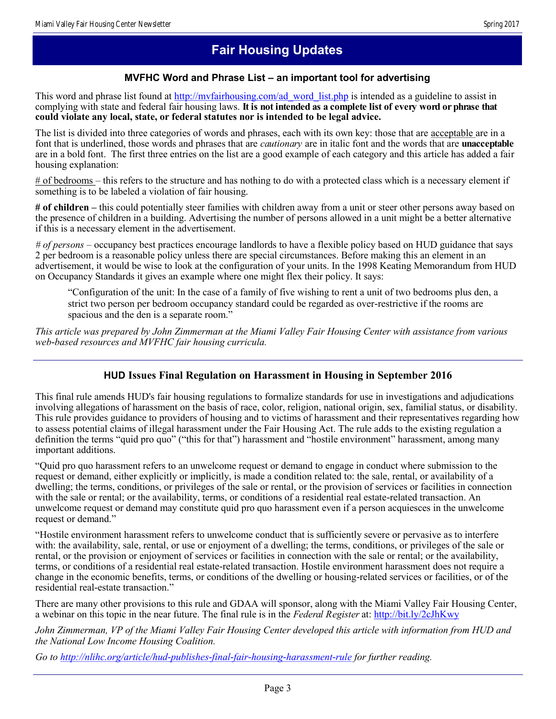# **Fair Housing Updates**

## **MVFHC Word and Phrase List – an important tool for advertising**

This word and phrase list found at [http://mvfairhousing.com/ad\\_word\\_list.php](http://mvfairhousing.com/ad_word_list.php) is intended as a guideline to assist in complying with state and federal fair housing laws. **It is not intended as a complete list of every word or phrase that could violate any local, state, or federal statutes nor is intended to be legal advice.**

The list is divided into three categories of words and phrases, each with its own key: those that are acceptable are in a font that is underlined, those words and phrases that are *cautionary* are in italic font and the words that are **unacceptable**  are in a bold font. The first three entries on the list are a good example of each category and this article has added a fair housing explanation:

# of bedrooms – this refers to the structure and has nothing to do with a protected class which is a necessary element if something is to be labeled a violation of fair housing.

**# of children –** this could potentially steer families with children away from a unit or steer other persons away based on the presence of children in a building. Advertising the number of persons allowed in a unit might be a better alternative if this is a necessary element in the advertisement.

*# of persons –* occupancy best practices encourage landlords to have a flexible policy based on HUD guidance that says 2 per bedroom is a reasonable policy unless there are special circumstances. Before making this an element in an advertisement, it would be wise to look at the configuration of your units. In the 1998 Keating Memorandum from HUD on Occupancy Standards it gives an example where one might flex their policy. It says:

"Configuration of the unit: In the case of a family of five wishing to rent a unit of two bedrooms plus den, a strict two person per bedroom occupancy standard could be regarded as over-restrictive if the rooms are spacious and the den is a separate room."

*This article was prepared by John Zimmerman at the Miami Valley Fair Housing Center with assistance from various web-based resources and MVFHC fair housing curricula.* 

### **HUD Issues Final Regulation on Harassment in Housing in September 2016**

This final rule amends HUD's fair housing regulations to formalize standards for use in investigations and adjudications involving allegations of harassment on the basis of race, color, religion, national origin, sex, familial status, or disability. This rule provides guidance to providers of housing and to victims of harassment and their representatives regarding how to assess potential claims of illegal harassment under the Fair Housing Act. The rule adds to the existing regulation a definition the terms "quid pro quo" ("this for that") harassment and "hostile environment" harassment, among many important additions.

"Quid pro quo harassment refers to an unwelcome request or demand to engage in conduct where submission to the request or demand, either explicitly or implicitly, is made a condition related to: the sale, rental, or availability of a dwelling; the terms, conditions, or privileges of the sale or rental, or the provision of services or facilities in connection with the sale or rental; or the availability, terms, or conditions of a residential real estate-related transaction. An unwelcome request or demand may constitute quid pro quo harassment even if a person acquiesces in the unwelcome request or demand."

"Hostile environment harassment refers to unwelcome conduct that is sufficiently severe or pervasive as to interfere with: the availability, sale, rental, or use or enjoyment of a dwelling; the terms, conditions, or privileges of the sale or rental, or the provision or enjoyment of services or facilities in connection with the sale or rental; or the availability, terms, or conditions of a residential real estate-related transaction. Hostile environment harassment does not require a change in the economic benefits, terms, or conditions of the dwelling or housing-related services or facilities, or of the residential real-estate transaction."

There are many other provisions to this rule and GDAA will sponsor, along with the Miami Valley Fair Housing Center, a webinar on this topic in the near future. The final rule is in the *Federal Register* at:<http://bit.ly/2cJhKwy>

*John Zimmerman, VP of the Miami Valley Fair Housing Center developed this article with information from HUD and the National Low Income Housing Coalition.*

*Go to <http://nlihc.org/article/hud-publishes-final-fair-housing-harassment-rule> for further reading.*